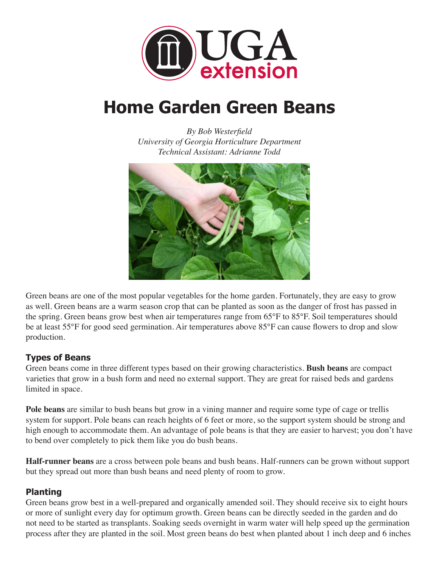

# **Home Garden Green Beans**

*By Bob Westerfield University of Georgia Horticulture Department Technical Assistant: Adrianne Todd*



Green beans are one of the most popular vegetables for the home garden. Fortunately, they are easy to grow as well. Green beans are a warm season crop that can be planted as soon as the danger of frost has passed in the spring. Green beans grow best when air temperatures range from 65°F to 85°F. Soil temperatures should be at least 55°F for good seed germination. Air temperatures above 85°F can cause flowers to drop and slow production.

### **Types of Beans**

Green beans come in three different types based on their growing characteristics. **Bush beans** are compact varieties that grow in a bush form and need no external support. They are great for raised beds and gardens limited in space.

**Pole beans** are similar to bush beans but grow in a vining manner and require some type of cage or trellis system for support. Pole beans can reach heights of 6 feet or more, so the support system should be strong and high enough to accommodate them. An advantage of pole beans is that they are easier to harvest; you don't have to bend over completely to pick them like you do bush beans.

**Half-runner beans** are a cross between pole beans and bush beans. Half-runners can be grown without support but they spread out more than bush beans and need plenty of room to grow.

### **Planting**

Green beans grow best in a well-prepared and organically amended soil. They should receive six to eight hours or more of sunlight every day for optimum growth. Green beans can be directly seeded in the garden and do not need to be started as transplants. Soaking seeds overnight in warm water will help speed up the germination process after they are planted in the soil. Most green beans do best when planted about 1 inch deep and 6 inches